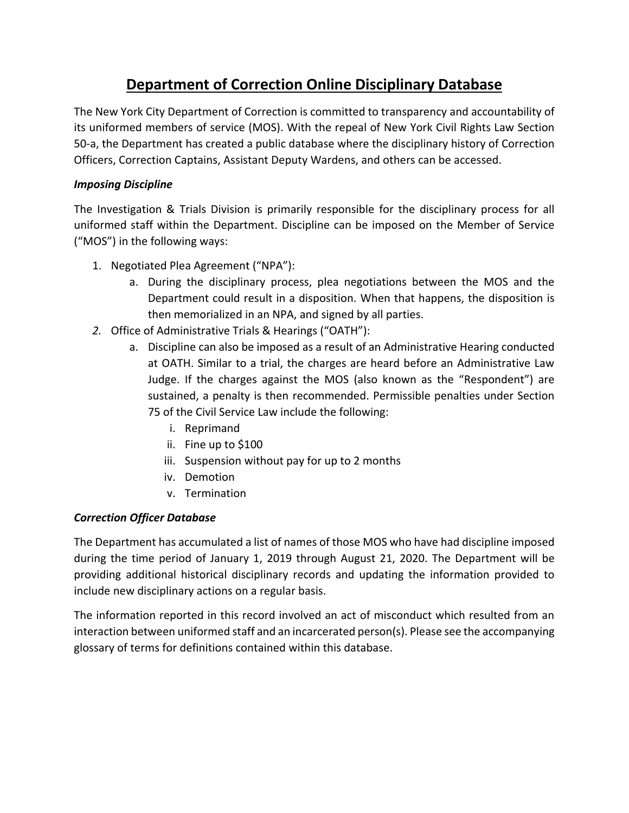## **Department of Correction Online Disciplinary Database**

The New York City Department of Correction is committed to transparency and accountability of its uniformed members of service (MOS). With the repeal of New York Civil Rights Law Section 50-a, the Department has created a public database where the disciplinary history of Correction Officers, Correction Captains, Assistant Deputy Wardens, and others can be accessed.

## *Imposing Discipline*

The Investigation & Trials Division is primarily responsible for the disciplinary process for all uniformed staff within the Department. Discipline can be imposed on the Member of Service ("MOS") in the following ways:

- 1. Negotiated Plea Agreement ("NPA"):
	- a. During the disciplinary process, plea negotiations between the MOS and the Department could result in a disposition. When that happens, the disposition is then memorialized in an NPA, and signed by all parties.
- *2.* Office of Administrative Trials & Hearings ("OATH"):
	- a. Discipline can also be imposed as a result of an Administrative Hearing conducted at OATH. Similar to a trial, the charges are heard before an Administrative Law Judge. If the charges against the MOS (also known as the "Respondent") are sustained, a penalty is then recommended. Permissible penalties under Section 75 of the Civil Service Law include the following:
		- i. Reprimand
		- ii. Fine up to \$100
		- iii. Suspension without pay for up to 2 months
		- iv. Demotion
		- v. Termination

## *Correction Officer Database*

The Department has accumulated a list of names of those MOS who have had discipline imposed during the time period of January 1, 2019 through August 21, 2020. The Department will be providing additional historical disciplinary records and updating the information provided to include new disciplinary actions on a regular basis.

The information reported in this record involved an act of misconduct which resulted from an interaction between uniformed staff and an incarcerated person(s). Please see the accompanying glossary of terms for definitions contained within this database.